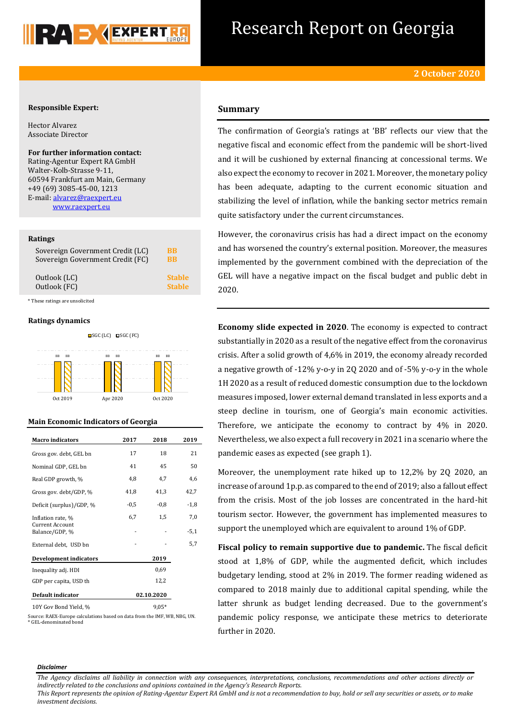

# Research Report on Georgia

### **Responsible Expert:**

Hector Alvarez Associate Director

**For further information contact:** Rating-Agentur Expert RA GmbH Walter-Kolb-Strasse 9-11, 60594 Frankfurt am Main, Germany +49 (69) 3085-45-00, 1213 E-mail[: alvarez@raexpert.eu](mailto:alvarez@raexpert.eu) [www.raexpert.eu](http://raexpert.eu/)

#### **Ratings**

| Sovereign Government Credit (LC) | BB            |
|----------------------------------|---------------|
| Sovereign Government Credit (FC) | RR            |
| Outlook (LC)                     | <b>Stable</b> |
| Outlook (FC)                     | <b>Stable</b> |

\* These ratings are unsolicited

#### **Ratings dynamics**



Oct 2019 Apr 2020 Oct 2020



| <b>Macro indicators</b>           | 2017   | 2018       | 2019   |
|-----------------------------------|--------|------------|--------|
| Gross gov. debt, GEL bn           | 17     | 18         | 21     |
| Nominal GDP, GEL bn               | 41     | 45         | 50     |
| Real GDP growth, %                | 4,8    | 4,7        | 4,6    |
| Gross gov. debt/GDP, %            | 41,8   | 41,3       | 42,7   |
| Deficit (surplus)/GDP, %          | $-0,5$ | $-0,8$     | $-1,8$ |
| Inflation rate, %                 | 6,7    | 1,5        | 7,0    |
| Current Account<br>Balance/GDP, % |        |            | $-5,1$ |
| External debt, USD bn             |        |            | 5,7    |
| <b>Development indicators</b>     |        | 2019       |        |
| Inequality adj. HDI               |        | 0.69       |        |
| GDP per capita, USD th            |        | 12,2       |        |
| Default indicator                 |        | 02.10.2020 |        |
| $1037C - D - 13721107$            |        | $0.05*$    |        |

10Y Gov Bond Yield, % 9,05\*

Source: RAEX-Europe calculations based on data from the IMF, WB, NBG, UN. \* GEL-denominated bond

## **Summary**

The confirmation of Georgia's ratings at 'BB' reflects our view that the negative fiscal and economic effect from the pandemic will be short-lived and it will be cushioned by external financing at concessional terms. We also expect the economy to recover in 2021. Moreover, the monetary policy has been adequate, adapting to the current economic situation and stabilizing the level of inflation, while the banking sector metrics remain quite satisfactory under the current circumstances.

However, the coronavirus crisis has had a direct impact on the economy and has worsened the country's external position. Moreover, the measures implemented by the government combined with the depreciation of the GEL will have a negative impact on the fiscal budget and public debt in 2020.

**Economy slide expected in 2020**. The economy is expected to contract substantially in 2020 as a result of the negative effect from the coronavirus crisis. After a solid growth of 4,6% in 2019, the economy already recorded a negative growth of -12% y-o-y in 2Q 2020 and of -5% y-o-y in the whole 1H 2020 as a result of reduced domestic consumption due to the lockdown measures imposed, lower external demand translated in less exports and a steep decline in tourism, one of Georgia's main economic activities. Therefore, we anticipate the economy to contract by 4% in 2020. Nevertheless, we also expect a full recovery in 2021 in a scenario where the pandemic eases as expected (see graph 1).

Moreover, the unemployment rate hiked up to 12,2% by 2Q 2020, an increase of around 1p.p. as compared to the end of 2019; also a fallout effect from the crisis. Most of the job losses are concentrated in the hard-hit tourism sector. However, the government has implemented measures to support the unemployed which are equivalent to around 1% of GDP.

**Fiscal policy to remain supportive due to pandemic.** The fiscal deficit stood at 1,8% of GDP, while the augmented deficit, which includes budgetary lending, stood at 2% in 2019. The former reading widened as compared to 2018 mainly due to additional capital spending, while the latter shrunk as budget lending decreased. Due to the government's pandemic policy response, we anticipate these metrics to deteriorate further in 2020.

#### *Disclaimer*

*The Agency disclaims all liability in connection with any consequences, interpretations, conclusions, recommendations and other actions directly or indirectly related to the conclusions and opinions contained in the Agency's Research Reports.*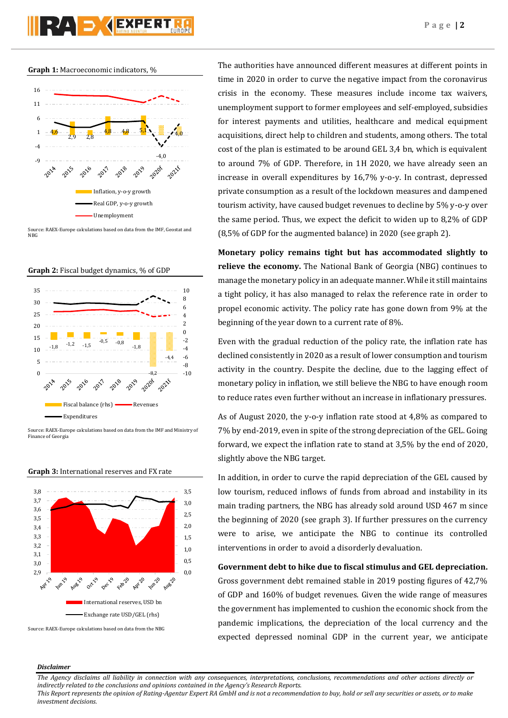**Graph 1:** Macroeconomic indicators, %



Source: RAEX-Europe calculations based on data from the IMF, Geostat and NBG





Source: RAEX-Europe calculations based on data from the IMF and Ministry of Finance of Georgia



**Graph 3:** International reserves and FX rate

Source: RAEX-Europe calculations based on data from the NBG

The authorities have announced different measures at different points in time in 2020 in order to curve the negative impact from the coronavirus crisis in the economy. These measures include income tax waivers, unemployment support to former employees and self-employed, subsidies for interest payments and utilities, healthcare and medical equipment acquisitions, direct help to children and students, among others. The total cost of the plan is estimated to be around GEL 3,4 bn, which is equivalent to around 7% of GDP. Therefore, in 1H 2020, we have already seen an increase in overall expenditures by 16,7% y-o-y. In contrast, depressed private consumption as a result of the lockdown measures and dampened tourism activity, have caused budget revenues to decline by 5% y-o-y over the same period. Thus, we expect the deficit to widen up to 8,2% of GDP (8,5% of GDP for the augmented balance) in 2020 (see graph 2).

**Monetary policy remains tight but has accommodated slightly to relieve the economy.** The National Bank of Georgia (NBG) continues to manage the monetary policy in an adequate manner. While it still maintains a tight policy, it has also managed to relax the reference rate in order to propel economic activity. The policy rate has gone down from 9% at the beginning of the year down to a current rate of 8%.

Even with the gradual reduction of the policy rate, the inflation rate has declined consistently in 2020 as a result of lower consumption and tourism activity in the country. Despite the decline, due to the lagging effect of monetary policy in inflation, we still believe the NBG to have enough room to reduce rates even further without an increase in inflationary pressures.

As of August 2020, the y-o-y inflation rate stood at 4,8% as compared to 7% by end-2019, even in spite of the strong depreciation of the GEL. Going forward, we expect the inflation rate to stand at 3,5% by the end of 2020, slightly above the NBG target.

In addition, in order to curve the rapid depreciation of the GEL caused by low tourism, reduced inflows of funds from abroad and instability in its main trading partners, the NBG has already sold around USD 467 m since the beginning of 2020 (see graph 3). If further pressures on the currency were to arise, we anticipate the NBG to continue its controlled interventions in order to avoid a disorderly devaluation.

**Government debt to hike due to fiscal stimulus and GEL depreciation.** Gross government debt remained stable in 2019 posting figures of 42,7% of GDP and 160% of budget revenues. Given the wide range of measures the government has implemented to cushion the economic shock from the pandemic implications, the depreciation of the local currency and the expected depressed nominal GDP in the current year, we anticipate

#### *Disclaimer*

*The Agency disclaims all liability in connection with any consequences, interpretations, conclusions, recommendations and other actions directly or indirectly related to the conclusions and opinions contained in the Agency's Research Reports.*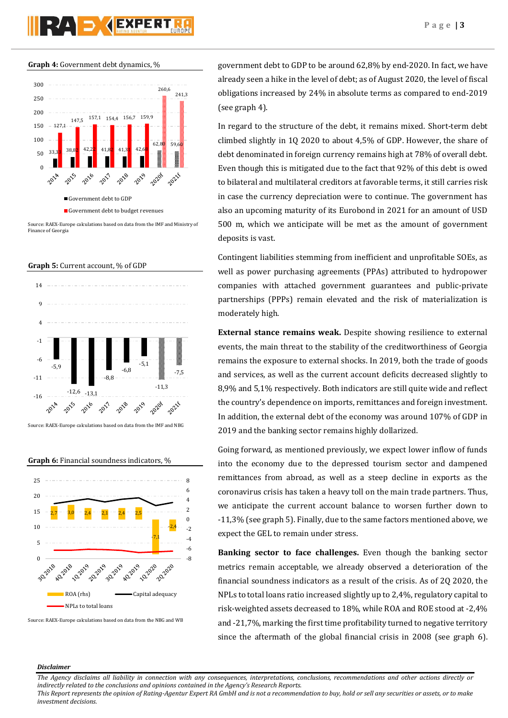# PZA D (EXPERI



**Graph 4:** Government debt dynamics, %

Source: RAEX-Europe calculations based on data from the IMF and Ministry of Finance of Georgia





**Graph 6:** Financial soundness indicators, %



Source: RAEX-Europe calculations based on data from the NBG and WB

government debt to GDP to be around 62,8% by end-2020. In fact, we have already seen a hike in the level of debt; as of August 2020, the level of fiscal obligations increased by 24% in absolute terms as compared to end-2019 (see graph 4).

In regard to the structure of the debt, it remains mixed. Short-term debt climbed slightly in 1Q 2020 to about 4,5% of GDP. However, the share of debt denominated in foreign currency remains high at 78% of overall debt. Even though this is mitigated due to the fact that 92% of this debt is owed to bilateral and multilateral creditors at favorable terms, it still carries risk in case the currency depreciation were to continue. The government has also an upcoming maturity of its Eurobond in 2021 for an amount of USD 500 m, which we anticipate will be met as the amount of government deposits is vast.

Contingent liabilities stemming from inefficient and unprofitable SOEs, as well as power purchasing agreements (PPAs) attributed to hydropower companies with attached government guarantees and public-private partnerships (PPPs) remain elevated and the risk of materialization is moderately high.

**External stance remains weak.** Despite showing resilience to external events, the main threat to the stability of the creditworthiness of Georgia remains the exposure to external shocks. In 2019, both the trade of goods and services, as well as the current account deficits decreased slightly to 8,9% and 5,1% respectively. Both indicators are still quite wide and reflect the country's dependence on imports, remittances and foreign investment. In addition, the external debt of the economy was around 107% of GDP in 2019 and the banking sector remains highly dollarized.

Going forward, as mentioned previously, we expect lower inflow of funds into the economy due to the depressed tourism sector and dampened remittances from abroad, as well as a steep decline in exports as the coronavirus crisis has taken a heavy toll on the main trade partners. Thus, we anticipate the current account balance to worsen further down to -11,3% (see graph 5). Finally, due to the same factors mentioned above, we expect the GEL to remain under stress.

**Banking sector to face challenges.** Even though the banking sector metrics remain acceptable, we already observed a deterioration of the financial soundness indicators as a result of the crisis. As of 2Q 2020, the NPLs to total loans ratio increased slightly up to 2,4%, regulatory capital to risk-weighted assets decreased to 18%, while ROA and ROE stood at -2,4% and -21,7%, marking the first time profitability turned to negative territory since the aftermath of the global financial crisis in 2008 (see graph 6).

#### *Disclaimer*

*The Agency disclaims all liability in connection with any consequences, interpretations, conclusions, recommendations and other actions directly or indirectly related to the conclusions and opinions contained in the Agency's Research Reports.*